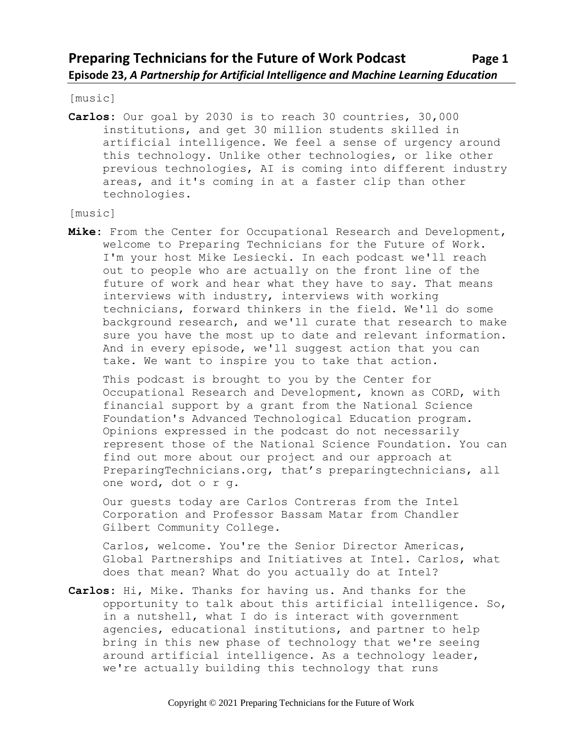[music]

**Carlos:** Our goal by 2030 is to reach 30 countries, 30,000 institutions, and get 30 million students skilled in artificial intelligence. We feel a sense of urgency around this technology. Unlike other technologies, or like other previous technologies, AI is coming into different industry areas, and it's coming in at a faster clip than other technologies.

#### [music]

**Mike:** From the Center for Occupational Research and Development, welcome to Preparing Technicians for the Future of Work. I'm your host Mike Lesiecki. In each podcast we'll reach out to people who are actually on the front line of the future of work and hear what they have to say. That means interviews with industry, interviews with working technicians, forward thinkers in the field. We'll do some background research, and we'll curate that research to make sure you have the most up to date and relevant information. And in every episode, we'll suggest action that you can take. We want to inspire you to take that action.

This podcast is brought to you by the Center for Occupational Research and Development, known as CORD, with financial support by a grant from the National Science Foundation's Advanced Technological Education program. Opinions expressed in the podcast do not necessarily represent those of the National Science Foundation. You can find out more about our project and our approach at PreparingTechnicians.org, that's preparingtechnicians, all one word, dot o r g.

Our guests today are Carlos Contreras from the Intel Corporation and Professor Bassam Matar from Chandler Gilbert Community College.

Carlos, welcome. You're the Senior Director Americas, Global Partnerships and Initiatives at Intel. Carlos, what does that mean? What do you actually do at Intel?

**Carlos:** Hi, Mike. Thanks for having us. And thanks for the opportunity to talk about this artificial intelligence. So, in a nutshell, what I do is interact with government agencies, educational institutions, and partner to help bring in this new phase of technology that we're seeing around artificial intelligence. As a technology leader, we're actually building this technology that runs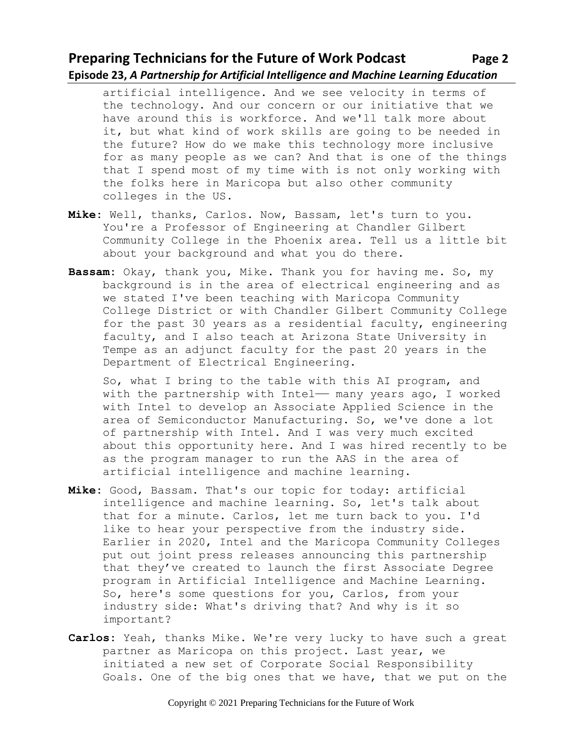## **Preparing Technicians for the Future of Work Podcast Page 2 Episode 23,** *A Partnership for Artificial Intelligence and Machine Learning Education*

artificial intelligence. And we see velocity in terms of the technology. And our concern or our initiative that we have around this is workforce. And we'll talk more about it, but what kind of work skills are going to be needed in the future? How do we make this technology more inclusive for as many people as we can? And that is one of the things that I spend most of my time with is not only working with the folks here in Maricopa but also other community colleges in the US.

- **Mike:** Well, thanks, Carlos. Now, Bassam, let's turn to you. You're a Professor of Engineering at Chandler Gilbert Community College in the Phoenix area. Tell us a little bit about your background and what you do there.
- **Bassam:** Okay, thank you, Mike. Thank you for having me. So, my background is in the area of electrical engineering and as we stated I've been teaching with Maricopa Community College District or with Chandler Gilbert Community College for the past 30 years as a residential faculty, engineering faculty, and I also teach at Arizona State University in Tempe as an adjunct faculty for the past 20 years in the Department of Electrical Engineering.

So, what I bring to the table with this AI program, and with the partnership with Intel— many years ago, I worked with Intel to develop an Associate Applied Science in the area of Semiconductor Manufacturing. So, we've done a lot of partnership with Intel. And I was very much excited about this opportunity here. And I was hired recently to be as the program manager to run the AAS in the area of artificial intelligence and machine learning.

- **Mike:** Good, Bassam. That's our topic for today: artificial intelligence and machine learning. So, let's talk about that for a minute. Carlos, let me turn back to you. I'd like to hear your perspective from the industry side. Earlier in 2020, Intel and the Maricopa Community Colleges put out joint press releases announcing this partnership that they've created to launch the first Associate Degree program in Artificial Intelligence and Machine Learning. So, here's some questions for you, Carlos, from your industry side: What's driving that? And why is it so important?
- **Carlos:** Yeah, thanks Mike. We're very lucky to have such a great partner as Maricopa on this project. Last year, we initiated a new set of Corporate Social Responsibility Goals. One of the big ones that we have, that we put on the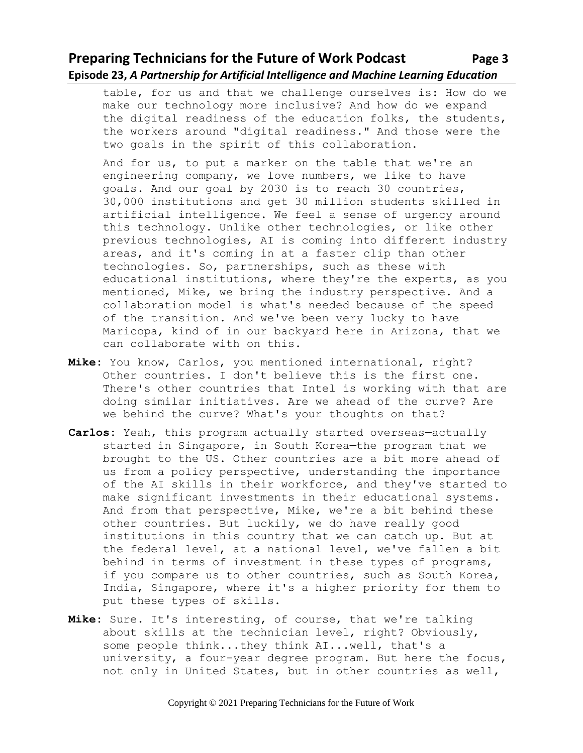# **Preparing Technicians for the Future of Work Podcast Page 3 Episode 23,** *A Partnership for Artificial Intelligence and Machine Learning Education*

table, for us and that we challenge ourselves is: How do we make our technology more inclusive? And how do we expand the digital readiness of the education folks, the students, the workers around "digital readiness." And those were the two goals in the spirit of this collaboration.

And for us, to put a marker on the table that we're an engineering company, we love numbers, we like to have goals. And our goal by 2030 is to reach 30 countries, 30,000 institutions and get 30 million students skilled in artificial intelligence. We feel a sense of urgency around this technology. Unlike other technologies, or like other previous technologies, AI is coming into different industry areas, and it's coming in at a faster clip than other technologies. So, partnerships, such as these with educational institutions, where they're the experts, as you mentioned, Mike, we bring the industry perspective. And a collaboration model is what's needed because of the speed of the transition. And we've been very lucky to have Maricopa, kind of in our backyard here in Arizona, that we can collaborate with on this.

- **Mike:** You know, Carlos, you mentioned international, right? Other countries. I don't believe this is the first one. There's other countries that Intel is working with that are doing similar initiatives. Are we ahead of the curve? Are we behind the curve? What's your thoughts on that?
- **Carlos:** Yeah, this program actually started overseas—actually started in Singapore, in South Korea—the program that we brought to the US. Other countries are a bit more ahead of us from a policy perspective, understanding the importance of the AI skills in their workforce, and they've started to make significant investments in their educational systems. And from that perspective, Mike, we're a bit behind these other countries. But luckily, we do have really good institutions in this country that we can catch up. But at the federal level, at a national level, we've fallen a bit behind in terms of investment in these types of programs, if you compare us to other countries, such as South Korea, India, Singapore, where it's a higher priority for them to put these types of skills.
- **Mike:** Sure. It's interesting, of course, that we're talking about skills at the technician level, right? Obviously, some people think...they think AI...well, that's a university, a four-year degree program. But here the focus, not only in United States, but in other countries as well,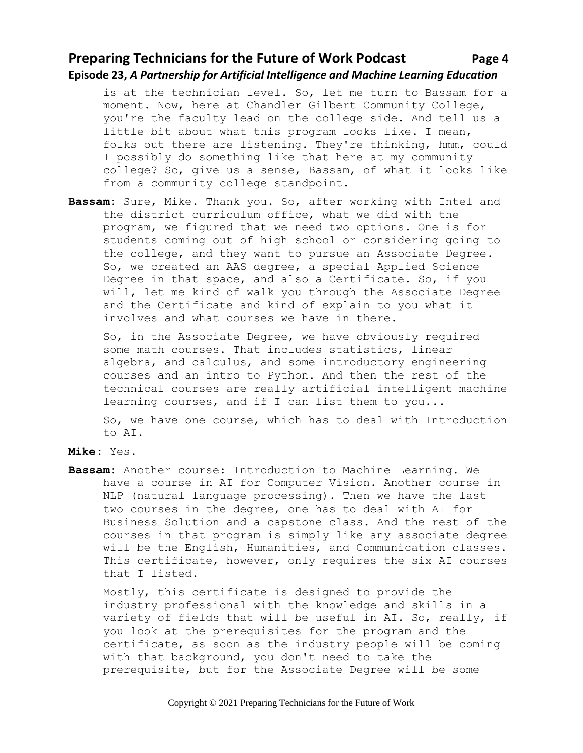### **Preparing Technicians for the Future of Work Podcast Page 4 Episode 23,** *A Partnership for Artificial Intelligence and Machine Learning Education*

is at the technician level. So, let me turn to Bassam for a moment. Now, here at Chandler Gilbert Community College, you're the faculty lead on the college side. And tell us a little bit about what this program looks like. I mean, folks out there are listening. They're thinking, hmm, could I possibly do something like that here at my community college? So, give us a sense, Bassam, of what it looks like from a community college standpoint.

**Bassam:** Sure, Mike. Thank you. So, after working with Intel and the district curriculum office, what we did with the program, we figured that we need two options. One is for students coming out of high school or considering going to the college, and they want to pursue an Associate Degree. So, we created an AAS degree, a special Applied Science Degree in that space, and also a Certificate. So, if you will, let me kind of walk you through the Associate Degree and the Certificate and kind of explain to you what it involves and what courses we have in there.

So, in the Associate Degree, we have obviously required some math courses. That includes statistics, linear algebra, and calculus, and some introductory engineering courses and an intro to Python. And then the rest of the technical courses are really artificial intelligent machine learning courses, and if I can list them to you...

So, we have one course, which has to deal with Introduction to AI.

**Bassam:** Another course: Introduction to Machine Learning. We have a course in AI for Computer Vision. Another course in NLP (natural language processing). Then we have the last two courses in the degree, one has to deal with AI for Business Solution and a capstone class. And the rest of the courses in that program is simply like any associate degree will be the English, Humanities, and Communication classes. This certificate, however, only requires the six AI courses that I listed.

Mostly, this certificate is designed to provide the industry professional with the knowledge and skills in a variety of fields that will be useful in AI. So, really, if you look at the prerequisites for the program and the certificate, as soon as the industry people will be coming with that background, you don't need to take the prerequisite, but for the Associate Degree will be some

**Mike:** Yes.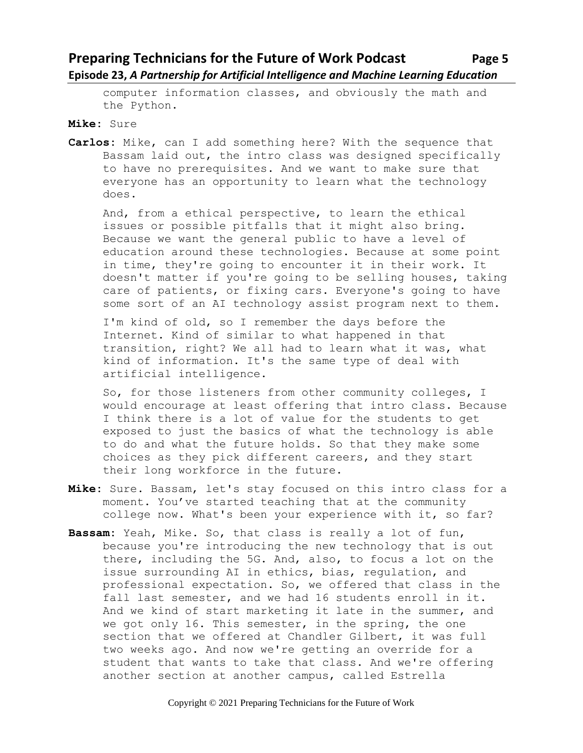# **Preparing Technicians for the Future of Work Podcast Page 5 Episode 23,** *A Partnership for Artificial Intelligence and Machine Learning Education*

computer information classes, and obviously the math and the Python.

**Mike:** Sure

**Carlos:** Mike, can I add something here? With the sequence that Bassam laid out, the intro class was designed specifically to have no prerequisites. And we want to make sure that everyone has an opportunity to learn what the technology does.

And, from a ethical perspective, to learn the ethical issues or possible pitfalls that it might also bring. Because we want the general public to have a level of education around these technologies. Because at some point in time, they're going to encounter it in their work. It doesn't matter if you're going to be selling houses, taking care of patients, or fixing cars. Everyone's going to have some sort of an AI technology assist program next to them.

I'm kind of old, so I remember the days before the Internet. Kind of similar to what happened in that transition, right? We all had to learn what it was, what kind of information. It's the same type of deal with artificial intelligence.

So, for those listeners from other community colleges, I would encourage at least offering that intro class. Because I think there is a lot of value for the students to get exposed to just the basics of what the technology is able to do and what the future holds. So that they make some choices as they pick different careers, and they start their long workforce in the future.

- **Mike:** Sure. Bassam, let's stay focused on this intro class for a moment. You've started teaching that at the community college now. What's been your experience with it, so far?
- **Bassam:** Yeah, Mike. So, that class is really a lot of fun, because you're introducing the new technology that is out there, including the 5G. And, also, to focus a lot on the issue surrounding AI in ethics, bias, regulation, and professional expectation. So, we offered that class in the fall last semester, and we had 16 students enroll in it. And we kind of start marketing it late in the summer, and we got only 16. This semester, in the spring, the one section that we offered at Chandler Gilbert, it was full two weeks ago. And now we're getting an override for a student that wants to take that class. And we're offering another section at another campus, called Estrella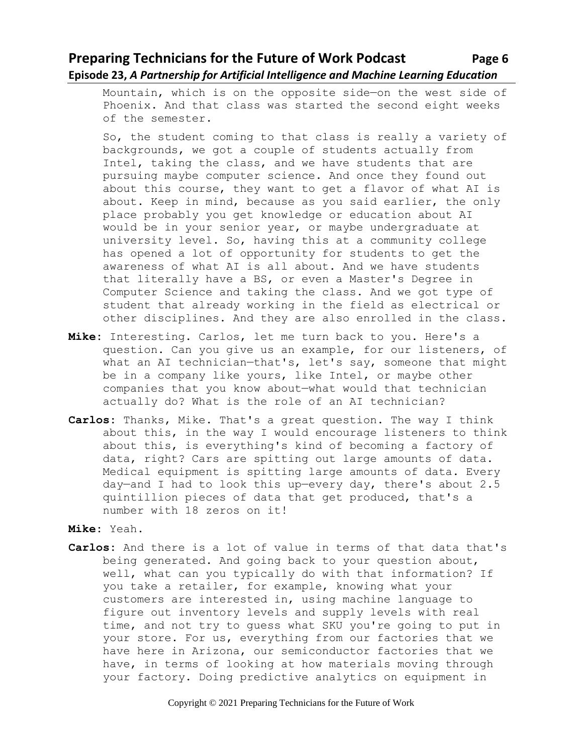## **Preparing Technicians for the Future of Work Podcast** Page 6 **Episode 23,** *A Partnership for Artificial Intelligence and Machine Learning Education*

Mountain, which is on the opposite side—on the west side of Phoenix. And that class was started the second eight weeks of the semester.

So, the student coming to that class is really a variety of backgrounds, we got a couple of students actually from Intel, taking the class, and we have students that are pursuing maybe computer science. And once they found out about this course, they want to get a flavor of what AI is about. Keep in mind, because as you said earlier, the only place probably you get knowledge or education about AI would be in your senior year, or maybe undergraduate at university level. So, having this at a community college has opened a lot of opportunity for students to get the awareness of what AI is all about. And we have students that literally have a BS, or even a Master's Degree in Computer Science and taking the class. And we got type of student that already working in the field as electrical or other disciplines. And they are also enrolled in the class.

- **Mike:** Interesting. Carlos, let me turn back to you. Here's a question. Can you give us an example, for our listeners, of what an AI technician—that's, let's say, someone that might be in a company like yours, like Intel, or maybe other companies that you know about—what would that technician actually do? What is the role of an AI technician?
- **Carlos:** Thanks, Mike. That's a great question. The way I think about this, in the way I would encourage listeners to think about this, is everything's kind of becoming a factory of data, right? Cars are spitting out large amounts of data. Medical equipment is spitting large amounts of data. Every day—and I had to look this up—every day, there's about 2.5 quintillion pieces of data that get produced, that's a number with 18 zeros on it!
- **Mike:** Yeah.
- **Carlos:** And there is a lot of value in terms of that data that's being generated. And going back to your question about, well, what can you typically do with that information? If you take a retailer, for example, knowing what your customers are interested in, using machine language to figure out inventory levels and supply levels with real time, and not try to guess what SKU you're going to put in your store. For us, everything from our factories that we have here in Arizona, our semiconductor factories that we have, in terms of looking at how materials moving through your factory. Doing predictive analytics on equipment in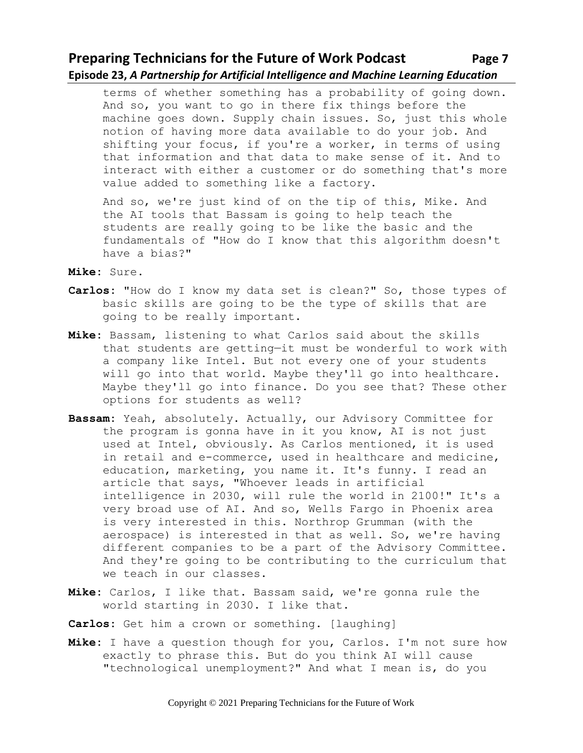## **Preparing Technicians for the Future of Work Podcast Page 7 Episode 23,** *A Partnership for Artificial Intelligence and Machine Learning Education*

terms of whether something has a probability of going down. And so, you want to go in there fix things before the machine goes down. Supply chain issues. So, just this whole notion of having more data available to do your job. And shifting your focus, if you're a worker, in terms of using that information and that data to make sense of it. And to interact with either a customer or do something that's more value added to something like a factory.

And so, we're just kind of on the tip of this, Mike. And the AI tools that Bassam is going to help teach the students are really going to be like the basic and the fundamentals of "How do I know that this algorithm doesn't have a bias?"

**Mike:** Sure.

- **Carlos:** "How do I know my data set is clean?" So, those types of basic skills are going to be the type of skills that are going to be really important.
- **Mike:** Bassam, listening to what Carlos said about the skills that students are getting—it must be wonderful to work with a company like Intel. But not every one of your students will go into that world. Maybe they'll go into healthcare. Maybe they'll go into finance. Do you see that? These other options for students as well?
- **Bassam:** Yeah, absolutely. Actually, our Advisory Committee for the program is gonna have in it you know, AI is not just used at Intel, obviously. As Carlos mentioned, it is used in retail and e-commerce, used in healthcare and medicine, education, marketing, you name it. It's funny. I read an article that says, "Whoever leads in artificial intelligence in 2030, will rule the world in 2100!" It's a very broad use of AI. And so, Wells Fargo in Phoenix area is very interested in this. Northrop Grumman (with the aerospace) is interested in that as well. So, we're having different companies to be a part of the Advisory Committee. And they're going to be contributing to the curriculum that we teach in our classes.
- **Mike:** Carlos, I like that. Bassam said, we're gonna rule the world starting in 2030. I like that.
- **Carlos:** Get him a crown or something. [laughing]
- **Mike:** I have a question though for you, Carlos. I'm not sure how exactly to phrase this. But do you think AI will cause "technological unemployment?" And what I mean is, do you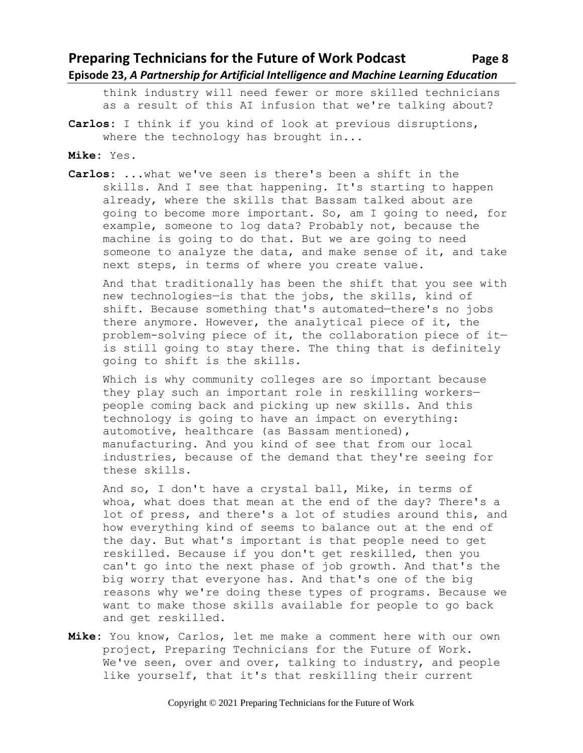## **Preparing Technicians for the Future of Work Podcast** Page 8 **Episode 23,** *A Partnership for Artificial Intelligence and Machine Learning Education*

think industry will need fewer or more skilled technicians as a result of this AI infusion that we're talking about?

- **Carlos:** I think if you kind of look at previous disruptions, where the technology has brought in...
- **Mike:** Yes.
- **Carlos:** ...what we've seen is there's been a shift in the skills. And I see that happening. It's starting to happen already, where the skills that Bassam talked about are going to become more important. So, am I going to need, for example, someone to log data? Probably not, because the machine is going to do that. But we are going to need someone to analyze the data, and make sense of it, and take next steps, in terms of where you create value.

And that traditionally has been the shift that you see with new technologies—is that the jobs, the skills, kind of shift. Because something that's automated—there's no jobs there anymore. However, the analytical piece of it, the problem-solving piece of it, the collaboration piece of it is still going to stay there. The thing that is definitely going to shift is the skills.

Which is why community colleges are so important because they play such an important role in reskilling workers people coming back and picking up new skills. And this technology is going to have an impact on everything: automotive, healthcare (as Bassam mentioned), manufacturing. And you kind of see that from our local industries, because of the demand that they're seeing for these skills.

And so, I don't have a crystal ball, Mike, in terms of whoa, what does that mean at the end of the day? There's a lot of press, and there's a lot of studies around this, and how everything kind of seems to balance out at the end of the day. But what's important is that people need to get reskilled. Because if you don't get reskilled, then you can't go into the next phase of job growth. And that's the big worry that everyone has. And that's one of the big reasons why we're doing these types of programs. Because we want to make those skills available for people to go back and get reskilled.

**Mike:** You know, Carlos, let me make a comment here with our own project, Preparing Technicians for the Future of Work. We've seen, over and over, talking to industry, and people like yourself, that it's that reskilling their current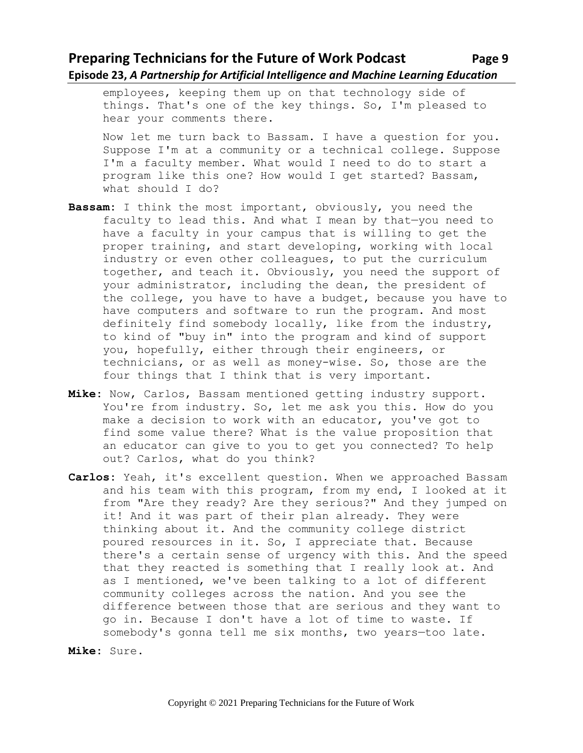#### **Preparing Technicians for the Future of Work Podcast** Page 9 **Episode 23,** *A Partnership for Artificial Intelligence and Machine Learning Education*

employees, keeping them up on that technology side of things. That's one of the key things. So, I'm pleased to hear your comments there.

Now let me turn back to Bassam. I have a question for you. Suppose I'm at a community or a technical college. Suppose I'm a faculty member. What would I need to do to start a program like this one? How would I get started? Bassam, what should I do?

- **Bassam:** I think the most important, obviously, you need the faculty to lead this. And what I mean by that—you need to have a faculty in your campus that is willing to get the proper training, and start developing, working with local industry or even other colleagues, to put the curriculum together, and teach it. Obviously, you need the support of your administrator, including the dean, the president of the college, you have to have a budget, because you have to have computers and software to run the program. And most definitely find somebody locally, like from the industry, to kind of "buy in" into the program and kind of support you, hopefully, either through their engineers, or technicians, or as well as money-wise. So, those are the four things that I think that is very important.
- **Mike:** Now, Carlos, Bassam mentioned getting industry support. You're from industry. So, let me ask you this. How do you make a decision to work with an educator, you've got to find some value there? What is the value proposition that an educator can give to you to get you connected? To help out? Carlos, what do you think?
- **Carlos:** Yeah, it's excellent question. When we approached Bassam and his team with this program, from my end, I looked at it from "Are they ready? Are they serious?" And they jumped on it! And it was part of their plan already. They were thinking about it. And the community college district poured resources in it. So, I appreciate that. Because there's a certain sense of urgency with this. And the speed that they reacted is something that I really look at. And as I mentioned, we've been talking to a lot of different community colleges across the nation. And you see the difference between those that are serious and they want to go in. Because I don't have a lot of time to waste. If somebody's gonna tell me six months, two years—too late.

```
Mike: Sure.
```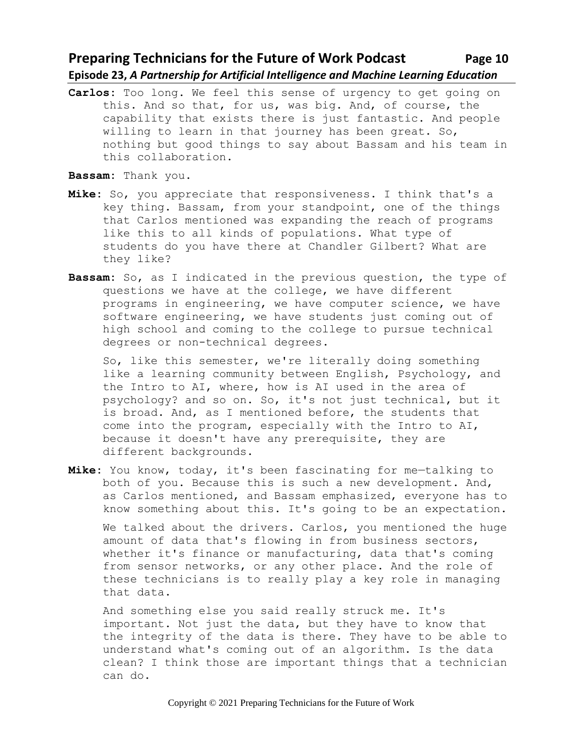#### **Preparing Technicians for the Future of Work Podcast Page 10 Episode 23,** *A Partnership for Artificial Intelligence and Machine Learning Education*

**Carlos:** Too long. We feel this sense of urgency to get going on this. And so that, for us, was big. And, of course, the capability that exists there is just fantastic. And people willing to learn in that journey has been great. So, nothing but good things to say about Bassam and his team in this collaboration.

**Bassam:** Thank you.

- **Mike:** So, you appreciate that responsiveness. I think that's a key thing. Bassam, from your standpoint, one of the things that Carlos mentioned was expanding the reach of programs like this to all kinds of populations. What type of students do you have there at Chandler Gilbert? What are they like?
- **Bassam:** So, as I indicated in the previous question, the type of questions we have at the college, we have different programs in engineering, we have computer science, we have software engineering, we have students just coming out of high school and coming to the college to pursue technical degrees or non-technical degrees.

So, like this semester, we're literally doing something like a learning community between English, Psychology, and the Intro to AI, where, how is AI used in the area of psychology? and so on. So, it's not just technical, but it is broad. And, as I mentioned before, the students that come into the program, especially with the Intro to AI, because it doesn't have any prerequisite, they are different backgrounds.

**Mike:** You know, today, it's been fascinating for me—talking to both of you. Because this is such a new development. And, as Carlos mentioned, and Bassam emphasized, everyone has to know something about this. It's going to be an expectation.

We talked about the drivers. Carlos, you mentioned the huge amount of data that's flowing in from business sectors, whether it's finance or manufacturing, data that's coming from sensor networks, or any other place. And the role of these technicians is to really play a key role in managing that data.

And something else you said really struck me. It's important. Not just the data, but they have to know that the integrity of the data is there. They have to be able to understand what's coming out of an algorithm. Is the data clean? I think those are important things that a technician can do.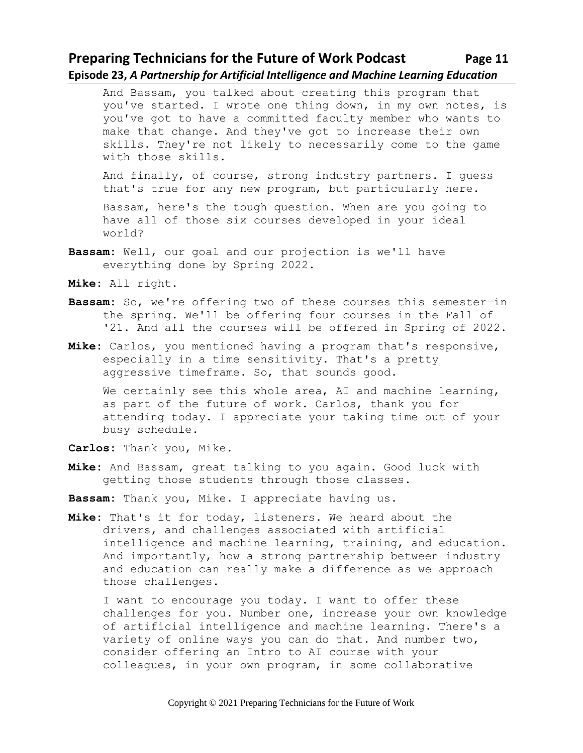## **Preparing Technicians for the Future of Work Podcast Page 11 Episode 23,** *A Partnership for Artificial Intelligence and Machine Learning Education*

And Bassam, you talked about creating this program that you've started. I wrote one thing down, in my own notes, is you've got to have a committed faculty member who wants to make that change. And they've got to increase their own skills. They're not likely to necessarily come to the game with those skills.

And finally, of course, strong industry partners. I guess that's true for any new program, but particularly here.

Bassam, here's the tough question. When are you going to have all of those six courses developed in your ideal world?

**Bassam:** Well, our goal and our projection is we'll have everything done by Spring 2022.

**Mike:** All right.

- **Bassam:** So, we're offering two of these courses this semester—in the spring. We'll be offering four courses in the Fall of '21. And all the courses will be offered in Spring of 2022.
- **Mike:** Carlos, you mentioned having a program that's responsive, especially in a time sensitivity. That's a pretty aggressive timeframe. So, that sounds good.

We certainly see this whole area, AI and machine learning, as part of the future of work. Carlos, thank you for attending today. I appreciate your taking time out of your busy schedule.

**Carlos:** Thank you, Mike.

- **Mike:** And Bassam, great talking to you again. Good luck with getting those students through those classes.
- **Bassam:** Thank you, Mike. I appreciate having us.
- **Mike:** That's it for today, listeners. We heard about the drivers, and challenges associated with artificial intelligence and machine learning, training, and education. And importantly, how a strong partnership between industry and education can really make a difference as we approach those challenges.

I want to encourage you today. I want to offer these challenges for you. Number one, increase your own knowledge of artificial intelligence and machine learning. There's a variety of online ways you can do that. And number two, consider offering an Intro to AI course with your colleagues, in your own program, in some collaborative